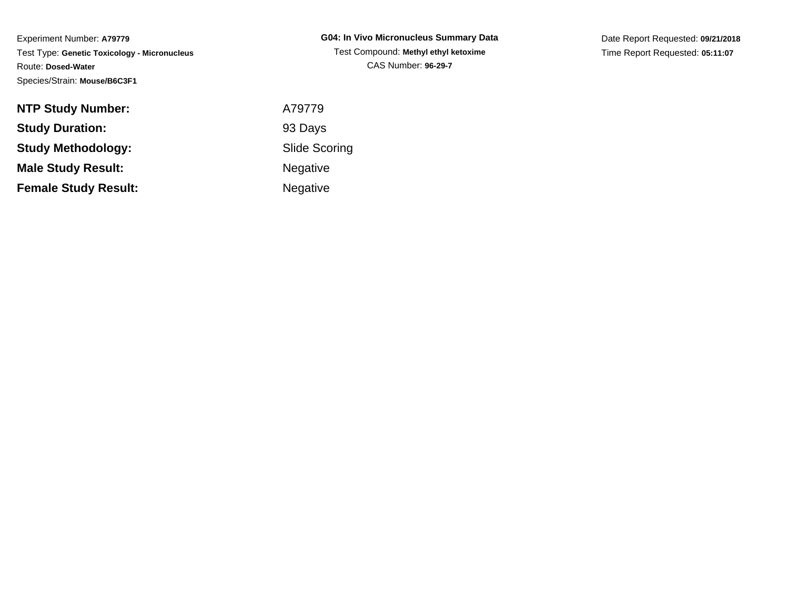| <b>NTP Study Number:</b>    | A79779    |
|-----------------------------|-----------|
| <b>Study Duration:</b>      | 93 Days   |
| <b>Study Methodology:</b>   | Slide Sco |
| <b>Male Study Result:</b>   | Negative  |
| <b>Female Study Result:</b> | Negative  |

**G04: In Vivo Micronucleus Summary Data**Test Compound: **Methyl ethyl ketoxime**CAS Number: **96-29-7**

Date Report Requested: **09/21/2018**Time Report Requested: **05:11:07**

Scoring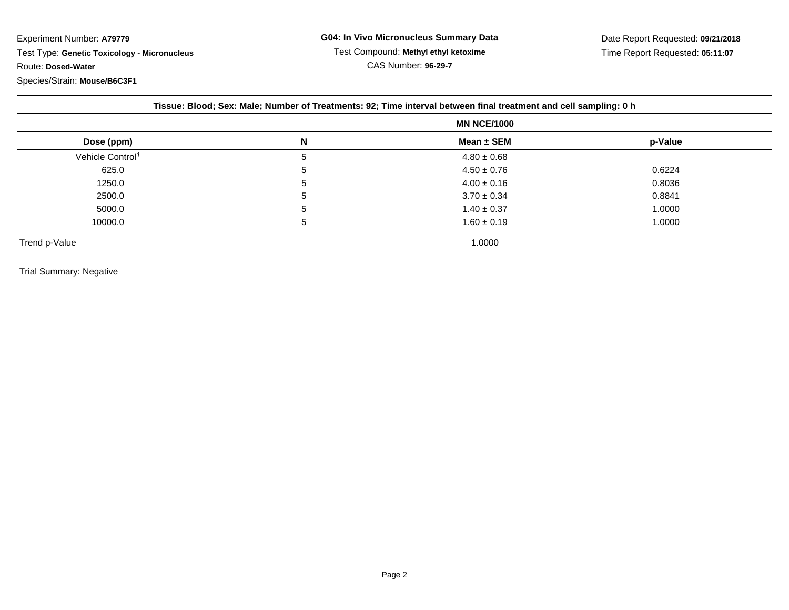|                              | Tissue: Blood; Sex: Male; Number of Treatments: 92; Time interval between final treatment and cell sampling: 0 h |                    |         |  |
|------------------------------|------------------------------------------------------------------------------------------------------------------|--------------------|---------|--|
|                              |                                                                                                                  | <b>MN NCE/1000</b> |         |  |
| Dose (ppm)                   | N                                                                                                                | Mean $\pm$ SEM     | p-Value |  |
| Vehicle Control <sup>1</sup> | 5                                                                                                                | $4.80 \pm 0.68$    |         |  |
| 625.0                        | 5                                                                                                                | $4.50 \pm 0.76$    | 0.6224  |  |
| 1250.0                       | 5                                                                                                                | $4.00 \pm 0.16$    | 0.8036  |  |
| 2500.0                       | 5                                                                                                                | $3.70 \pm 0.34$    | 0.8841  |  |
| 5000.0                       | 5                                                                                                                | $1.40 \pm 0.37$    | 1.0000  |  |
| 10000.0                      | 5                                                                                                                | $1.60 \pm 0.19$    | 1.0000  |  |
| Trend p-Value                |                                                                                                                  | 1.0000             |         |  |
|                              |                                                                                                                  |                    |         |  |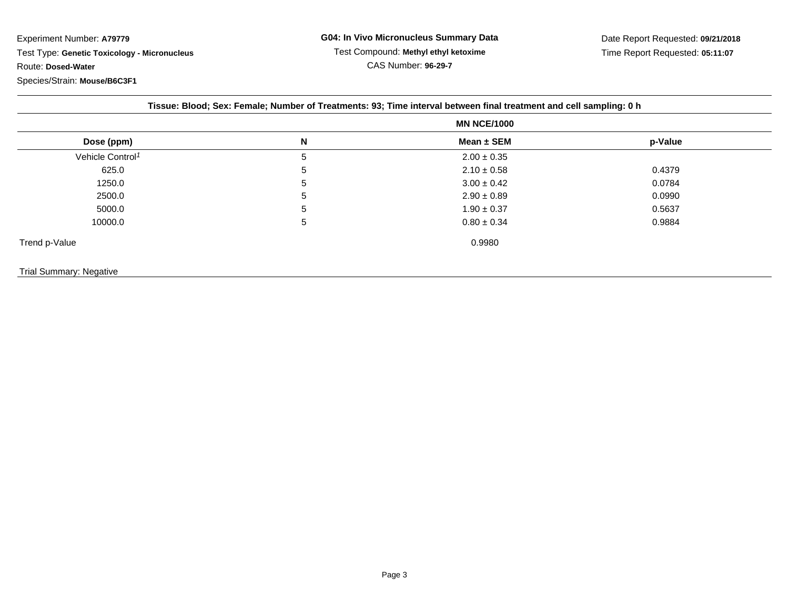|                              |    | <b>MN NCE/1000</b> |         |
|------------------------------|----|--------------------|---------|
| Dose (ppm)                   | N  | Mean $\pm$ SEM     | p-Value |
| Vehicle Control <sup>1</sup> | 5  | $2.00 \pm 0.35$    |         |
| 625.0                        | 5. | $2.10 \pm 0.58$    | 0.4379  |
| 1250.0                       | 5  | $3.00 \pm 0.42$    | 0.0784  |
| 2500.0                       | 5  | $2.90 \pm 0.89$    | 0.0990  |
| 5000.0                       | 5  | $1.90 \pm 0.37$    | 0.5637  |
| 10000.0                      | 5  | $0.80 \pm 0.34$    | 0.9884  |
| Trend p-Value                |    | 0.9980             |         |